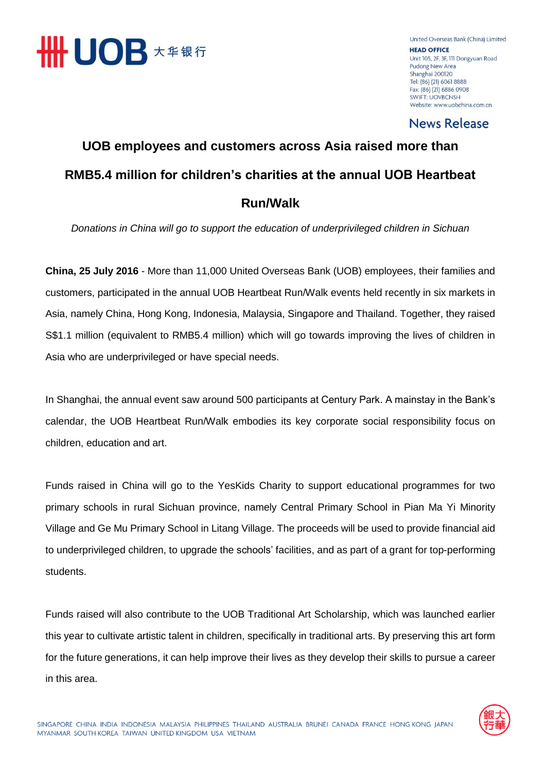

United Overseas Bank (China) Limited **HEAD OFFICE** Unit 105, 2F, 3F, 111 Dongyuan Road Pudong New Area Shanghai 200120 Tel: (86) (21) 6061 8888 Fax: (86) (21) 6886 0908 **SWIFT: UOVBCNSH** Website: www.uobchina.com.cn

**News Release** 

### **UOB employees and customers across Asia raised more than RMB5.4 million for children's charities at the annual UOB Heartbeat Run/Walk**

*Donations in China will go to support the education of underprivileged children in Sichuan* 

**China, 25 July 2016** - More than 11,000 United Overseas Bank (UOB) employees, their families and customers, participated in the annual UOB Heartbeat Run/Walk events held recently in six markets in Asia, namely China, Hong Kong, Indonesia, Malaysia, Singapore and Thailand. Together, they raised S\$1.1 million (equivalent to RMB5.4 million) which will go towards improving the lives of children in Asia who are underprivileged or have special needs.

In Shanghai, the annual event saw around 500 participants at Century Park. A mainstay in the Bank's calendar, the UOB Heartbeat Run/Walk embodies its key corporate social responsibility focus on children, education and art.

Funds raised in China will go to the YesKids Charity to support educational programmes for two primary schools in rural Sichuan province, namely Central Primary School in Pian Ma Yi Minority Village and Ge Mu Primary School in Litang Village. The proceeds will be used to provide financial aid to underprivileged children, to upgrade the schools' facilities, and as part of a grant for top-performing students.

Funds raised will also contribute to the UOB Traditional Art Scholarship, which was launched earlier this year to cultivate artistic talent in children, specifically in traditional arts. By preserving this art form for the future generations, it can help improve their lives as they develop their skills to pursue a career in this area.

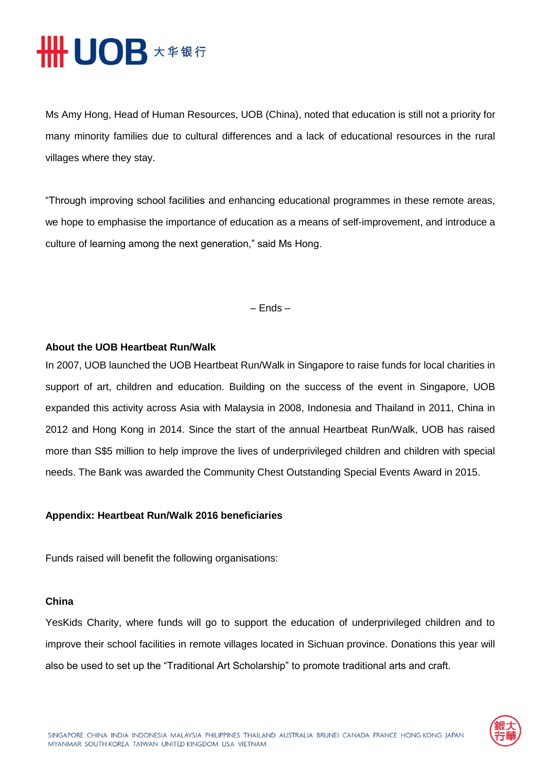# HUOB **\*\*\*\***

Ms Amy Hong, Head of Human Resources, UOB (China), noted that education is still not a priority for many minority families due to cultural differences and a lack of educational resources in the rural villages where they stay.

"Through improving school facilities and enhancing educational programmes in these remote areas, we hope to emphasise the importance of education as a means of self-improvement, and introduce a culture of learning among the next generation," said Ms Hong.

– Ends –

### **About the UOB Heartbeat Run/Walk**

In 2007, UOB launched the UOB Heartbeat Run/Walk in Singapore to raise funds for local charities in support of art, children and education. Building on the success of the event in Singapore, UOB expanded this activity across Asia with Malaysia in 2008, Indonesia and Thailand in 2011, China in 2012 and Hong Kong in 2014. Since the start of the annual Heartbeat Run/Walk, UOB has raised more than S\$5 million to help improve the lives of underprivileged children and children with special needs. The Bank was awarded the Community Chest Outstanding Special Events Award in 2015.

#### **Appendix: Heartbeat Run/Walk 2016 beneficiaries**

Funds raised will benefit the following organisations:

#### **China**

YesKids Charity, where funds will go to support the education of underprivileged children and to improve their school facilities in remote villages located in Sichuan province. Donations this year will also be used to set up the "Traditional Art Scholarship" to promote traditional arts and craft.

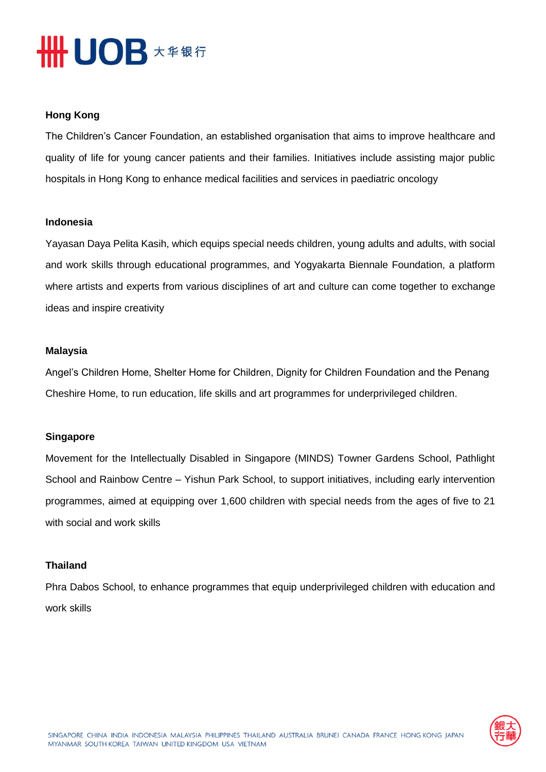# HHUOB **\*\*\***

#### **Hong Kong**

The Children's Cancer Foundation, an established organisation that aims to improve healthcare and quality of life for young cancer patients and their families. Initiatives include assisting major public hospitals in Hong Kong to enhance medical facilities and services in paediatric oncology

#### **Indonesia**

Yayasan Daya Pelita Kasih, which equips special needs children, young adults and adults, with social and work skills through educational programmes, and Yogyakarta Biennale Foundation, a platform where artists and experts from various disciplines of art and culture can come together to exchange ideas and inspire creativity

#### **Malaysia**

Angel's Children Home, Shelter Home for Children, Dignity for Children Foundation and the Penang Cheshire Home, to run education, life skills and art programmes for underprivileged children.

#### **Singapore**

Movement for the Intellectually Disabled in Singapore (MINDS) Towner Gardens School, Pathlight School and Rainbow Centre – Yishun Park School, to support initiatives, including early intervention programmes, aimed at equipping over 1,600 children with special needs from the ages of five to 21 with social and work skills

#### **Thailand**

Phra Dabos School, to enhance programmes that equip underprivileged children with education and work skills